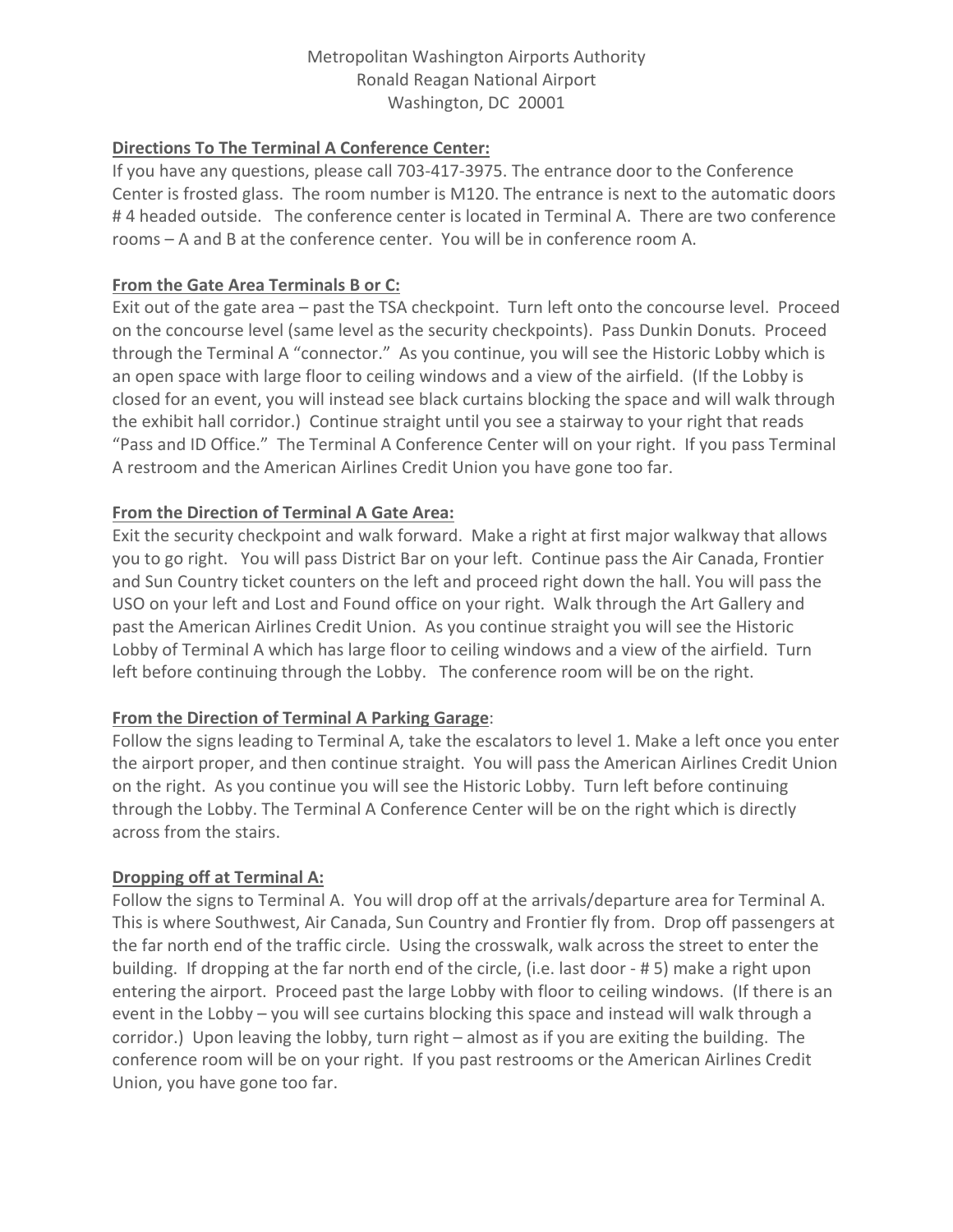### Metropolitan Washington Airports Authority Ronald Reagan National Airport Washington, DC 20001

## **Directions To The Terminal A Conference Center:**

If you have any questions, please call 703-417-3975. The entrance door to the Conference Center is frosted glass. The room number is M120. The entrance is next to the automatic doors # 4 headed outside. The conference center is located in Terminal A. There are two conference rooms – A and B at the conference center. You will be in conference room A.

#### **From the Gate Area Terminals B or C:**

Exit out of the gate area – past the TSA checkpoint. Turn left onto the concourse level. Proceed on the concourse level (same level as the security checkpoints). Pass Dunkin Donuts. Proceed through the Terminal A "connector." As you continue, you will see the Historic Lobby which is an open space with large floor to ceiling windows and a view of the airfield. (If the Lobby is closed for an event, you will instead see black curtains blocking the space and will walk through the exhibit hall corridor.) Continue straight until you see a stairway to your right that reads "Pass and ID Office." The Terminal A Conference Center will on your right. If you pass Terminal A restroom and the American Airlines Credit Union you have gone too far.

## **From the Direction of Terminal A Gate Area:**

Exit the security checkpoint and walk forward. Make a right at first major walkway that allows you to go right. You will pass District Bar on your left. Continue pass the Air Canada, Frontier and Sun Country ticket counters on the left and proceed right down the hall. You will pass the USO on your left and Lost and Found office on your right. Walk through the Art Gallery and past the American Airlines Credit Union. As you continue straight you will see the Historic Lobby of Terminal A which has large floor to ceiling windows and a view of the airfield. Turn left before continuing through the Lobby. The conference room will be on the right.

#### **From the Direction of Terminal A Parking Garage**:

Follow the signs leading to Terminal A, take the escalators to level 1. Make a left once you enter the airport proper, and then continue straight. You will pass the American Airlines Credit Union on the right. As you continue you will see the Historic Lobby. Turn left before continuing through the Lobby. The Terminal A Conference Center will be on the right which is directly across from the stairs.

#### **Dropping off at Terminal A:**

Follow the signs to Terminal A. You will drop off at the arrivals/departure area for Terminal A. This is where Southwest, Air Canada, Sun Country and Frontier fly from. Drop off passengers at the far north end of the traffic circle. Using the crosswalk, walk across the street to enter the building. If dropping at the far north end of the circle, (i.e. last door - # 5) make a right upon entering the airport. Proceed past the large Lobby with floor to ceiling windows. (If there is an event in the Lobby – you will see curtains blocking this space and instead will walk through a corridor.) Upon leaving the lobby, turn right – almost as if you are exiting the building. The conference room will be on your right. If you past restrooms or the American Airlines Credit Union, you have gone too far.